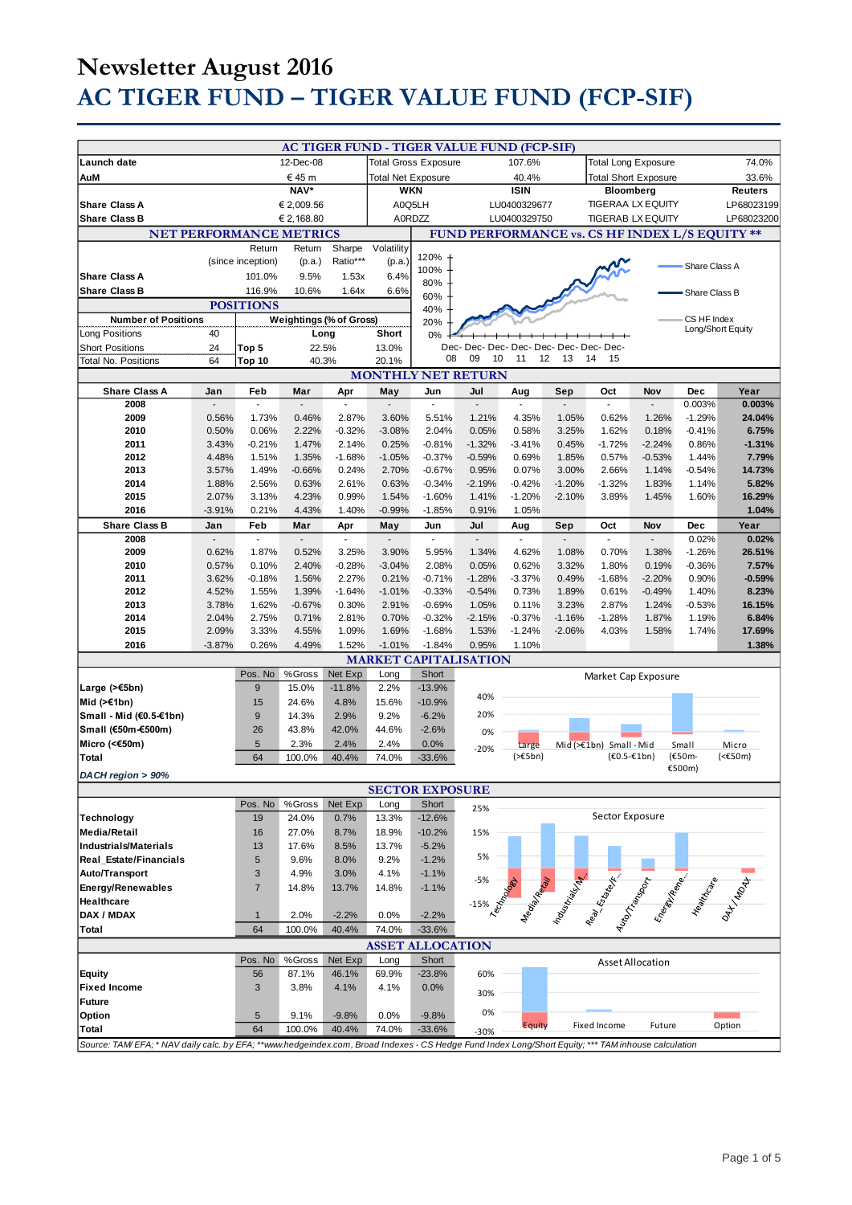# **Newsletter August 2016 AC TIGER FUND – TIGER VALUE FUND (FCP-SIF)**

|                                                                                                                                                     |                |                            |                                 |                   |                   |                                                | AC TIGER FUND - TIGER VALUE FUND (FCP-SIF) |                             |                |                                                                                                                 |                      |                      |                   |
|-----------------------------------------------------------------------------------------------------------------------------------------------------|----------------|----------------------------|---------------------------------|-------------------|-------------------|------------------------------------------------|--------------------------------------------|-----------------------------|----------------|-----------------------------------------------------------------------------------------------------------------|----------------------|----------------------|-------------------|
| 12-Dec-08<br>Launch date                                                                                                                            |                |                            | <b>Total Gross Exposure</b>     |                   | 107.6%            |                                                |                                            | <b>Total Long Exposure</b>  |                |                                                                                                                 | 74.0%                |                      |                   |
| € 45 m<br>AuM                                                                                                                                       |                |                            | <b>Total Net Exposure</b>       |                   |                   | 40.4%                                          |                                            | <b>Total Short Exposure</b> |                |                                                                                                                 | 33.6%                |                      |                   |
| NAV*                                                                                                                                                |                |                            | <b>WKN</b>                      |                   |                   | <b>ISIN</b>                                    |                                            | <b>Bloomberg</b>            |                |                                                                                                                 | <b>Reuters</b>       |                      |                   |
| <b>Share Class A</b><br>€ 2,009.56                                                                                                                  |                |                            |                                 | A0Q5LH            | LU0400329677      |                                                |                                            | <b>TIGERAA LX EQUITY</b>    |                |                                                                                                                 | LP68023199           |                      |                   |
| <b>Share Class B</b>                                                                                                                                |                |                            | € 2,168.80                      |                   |                   | A0RDZZ                                         |                                            | LU0400329750                |                | <b>TIGERAB LX EQUITY</b>                                                                                        |                      |                      | LP68023200        |
| <b>NET PERFORMANCE METRICS</b>                                                                                                                      |                |                            |                                 |                   |                   | FUND PERFORMANCE vs. CS HF INDEX L/S EQUITY ** |                                            |                             |                |                                                                                                                 |                      |                      |                   |
|                                                                                                                                                     |                | Return                     | Return                          | Sharpe            | Volatility        | 120%                                           |                                            |                             |                |                                                                                                                 |                      |                      |                   |
|                                                                                                                                                     |                | (since inception)          | (p.a.)                          | Ratio***          | (p.a.)            | 100%                                           |                                            |                             |                |                                                                                                                 |                      | Share Class A        |                   |
| <b>Share Class A</b>                                                                                                                                |                | 101.0%                     | 9.5%                            | 1.53x             | 6.4%              | 80%                                            |                                            |                             |                |                                                                                                                 |                      |                      |                   |
| <b>Share Class B</b>                                                                                                                                |                | 116.9%<br><b>POSITIONS</b> | 10.6%                           | 1.64x             | 6.6%              | 60%                                            |                                            |                             |                |                                                                                                                 |                      | Share Class B        |                   |
| <b>Number of Positions</b>                                                                                                                          |                |                            |                                 |                   |                   | 40%                                            |                                            |                             |                |                                                                                                                 |                      | CS HF Index          |                   |
| Long Positions                                                                                                                                      | 40             |                            | Weightings (% of Gross)<br>Long |                   | Short             | 20%<br>0%                                      |                                            |                             |                |                                                                                                                 |                      |                      | Long/Short Equity |
| <b>Short Positions</b>                                                                                                                              | 24             | Top 5                      | 22.5%                           |                   | 13.0%             |                                                | Dec- Dec- Dec- Dec- Dec- Dec- Dec- Dec-    |                             |                |                                                                                                                 |                      |                      |                   |
| <b>Total No. Positions</b>                                                                                                                          | 64             | Top 10                     | 40.3%                           |                   | 20.1%             | 08                                             | 09<br>10                                   | 11<br>12                    | 13             | 14<br>15                                                                                                        |                      |                      |                   |
| <b>MONTHLY NET RETURN</b>                                                                                                                           |                |                            |                                 |                   |                   |                                                |                                            |                             |                |                                                                                                                 |                      |                      |                   |
| <b>Share Class A</b>                                                                                                                                | Jan            | Feb                        | Mar                             | Apr               | May               | Jun                                            | Jul                                        | Aug                         | Sep            | Oct                                                                                                             | Nov                  | Dec                  | Year              |
| 2008                                                                                                                                                |                |                            |                                 | $\sim$            |                   |                                                |                                            |                             |                | ÷,                                                                                                              |                      | 0.003%               | 0.003%            |
| 2009                                                                                                                                                | 0.56%          | 1.73%                      | 0.46%                           | 2.87%             | 3.60%             | 5.51%                                          | 1.21%                                      | 4.35%                       | 1.05%          | 0.62%                                                                                                           | 1.26%                | $-1.29%$             | 24.04%            |
| 2010<br>2011                                                                                                                                        | 0.50%          | 0.06%<br>$-0.21%$          | 2.22%<br>1.47%                  | $-0.32%$<br>2.14% | $-3.08%$          | 2.04%<br>$-0.81%$                              | 0.05%                                      | 0.58%                       | 3.25%          | 1.62%                                                                                                           | 0.18%                | $-0.41%$<br>0.86%    | 6.75%<br>$-1.31%$ |
| 2012                                                                                                                                                | 3.43%<br>4.48% | 1.51%                      | 1.35%                           | $-1.68%$          | 0.25%<br>$-1.05%$ | $-0.37%$                                       | $-1.32%$<br>$-0.59%$                       | $-3.41%$<br>0.69%           | 0.45%<br>1.85% | $-1.72%$<br>0.57%                                                                                               | $-2.24%$<br>$-0.53%$ | 1.44%                | 7.79%             |
| 2013                                                                                                                                                | 3.57%          | 1.49%                      | $-0.66%$                        | 0.24%             | 2.70%             | $-0.67%$                                       | 0.95%                                      | 0.07%                       | 3.00%          | 2.66%                                                                                                           | 1.14%                | $-0.54%$             | 14.73%            |
| 2014                                                                                                                                                | 1.88%          | 2.56%                      | 0.63%                           | 2.61%             | 0.63%             | $-0.34%$                                       | $-2.19%$                                   | $-0.42%$                    | $-1.20%$       | $-1.32%$                                                                                                        | 1.83%                | 1.14%                | 5.82%             |
| 2015                                                                                                                                                | 2.07%          | 3.13%                      | 4.23%                           | 0.99%             | 1.54%             | $-1.60%$                                       | 1.41%                                      | $-1.20%$                    | $-2.10%$       | 3.89%                                                                                                           | 1.45%                | 1.60%                | 16.29%            |
| 2016                                                                                                                                                | $-3.91%$       | 0.21%                      | 4.43%                           | 1.40%             | $-0.99%$          | $-1.85%$                                       | 0.91%                                      | 1.05%                       |                |                                                                                                                 |                      |                      | 1.04%             |
| <b>Share Class B</b>                                                                                                                                | Jan            | Feb                        | Mar                             | Apr               | May               | Jun                                            | Jul                                        | Aug                         | Sep            | Oct                                                                                                             | Nov                  | Dec                  | Year              |
| 2008                                                                                                                                                |                |                            |                                 |                   |                   |                                                |                                            |                             |                |                                                                                                                 |                      | 0.02%                | 0.02%             |
| 2009<br>2010                                                                                                                                        | 0.62%<br>0.57% | 1.87%<br>0.10%             | 0.52%<br>2.40%                  | 3.25%<br>$-0.28%$ | 3.90%<br>$-3.04%$ | 5.95%<br>2.08%                                 | 1.34%<br>0.05%                             | 4.62%<br>0.62%              | 1.08%<br>3.32% | 0.70%<br>1.80%                                                                                                  | 1.38%<br>0.19%       | $-1.26%$<br>$-0.36%$ | 26.51%<br>7.57%   |
| 2011                                                                                                                                                | 3.62%          | $-0.18%$                   | 1.56%                           | 2.27%             | 0.21%             | $-0.71%$                                       | $-1.28%$                                   | $-3.37%$                    | 0.49%          | $-1.68%$                                                                                                        | $-2.20%$             | 0.90%                | $-0.59%$          |
| 2012                                                                                                                                                | 4.52%          | 1.55%                      | 1.39%                           | $-1.64%$          | $-1.01%$          | $-0.33%$                                       | $-0.54%$                                   | 0.73%                       | 1.89%          | 0.61%                                                                                                           | $-0.49%$             | 1.40%                | 8.23%             |
| 2013                                                                                                                                                | 3.78%          | 1.62%                      | $-0.67%$                        | 0.30%             | 2.91%             | $-0.69%$                                       | 1.05%                                      | 0.11%                       | 3.23%          | 2.87%                                                                                                           | 1.24%                | $-0.53%$             | 16.15%            |
| 2014                                                                                                                                                | 2.04%          | 2.75%                      | 0.71%                           | 2.81%             | 0.70%             | $-0.32%$                                       | $-2.15%$                                   | $-0.37%$                    | $-1.16%$       | $-1.28%$                                                                                                        | 1.87%                | 1.19%                | 6.84%             |
| 2015                                                                                                                                                | 2.09%          | 3.33%                      | 4.55%                           | 1.09%             | 1.69%             | $-1.68%$                                       | 1.53%                                      | $-1.24%$                    | $-2.06%$       | 4.03%                                                                                                           | 1.58%                | 1.74%                | 17.69%            |
| 2016                                                                                                                                                | $-3.87%$       | 0.26%                      | 4.49%                           | 1.52%             | $-1.01%$          | $-1.84%$                                       | 0.95%                                      | 1.10%                       |                |                                                                                                                 |                      |                      | 1.38%             |
|                                                                                                                                                     |                |                            |                                 |                   |                   |                                                | <b>MARKET CAPITALISATION</b>               |                             |                |                                                                                                                 |                      |                      |                   |
|                                                                                                                                                     |                | Pos. No<br>9               | %Gross                          | Net Exp           | Long              | Short                                          |                                            |                             |                | Market Cap Exposure                                                                                             |                      |                      |                   |
| Large $($ >€5bn)<br>Mid (>€1bn)                                                                                                                     |                | 15                         | 15.0%<br>24.6%                  | $-11.8%$<br>4.8%  | 2.2%<br>15.6%     | $-13.9%$<br>$-10.9%$                           | 40%                                        |                             |                |                                                                                                                 |                      |                      |                   |
| Small - Mid (€0.5-€1bn)                                                                                                                             |                | 9                          | 14.3%                           | 2.9%              | 9.2%              | $-6.2%$                                        | 20%                                        |                             |                |                                                                                                                 |                      |                      |                   |
| Small (€50m-€500m)                                                                                                                                  |                | 26                         | 43.8%                           | 42.0%             | 44.6%             | $-2.6%$                                        | 0%                                         |                             |                |                                                                                                                 |                      |                      |                   |
| Micro (<€50m)                                                                                                                                       |                | $\overline{5}$             | 2.3%                            | 2.4%              | 2.4%              | 0.0%                                           |                                            | Large                       |                | Mid $(>=1$ bn) Small-Mid                                                                                        |                      | Small                | Micro             |
| Total                                                                                                                                               |                | 64                         | 100.0%                          | 40.4%             | 74.0%             | $-33.6%$                                       | $-20%$                                     | $(>=5bn)$                   |                | $(60.5 - 61bn)$                                                                                                 |                      | (€50m-               | $(50m)$           |
| DACH region > 90%                                                                                                                                   |                |                            |                                 |                   |                   |                                                |                                            |                             |                |                                                                                                                 |                      | €500m)               |                   |
| <b>SECTOR EXPOSURE</b>                                                                                                                              |                |                            |                                 |                   |                   |                                                |                                            |                             |                |                                                                                                                 |                      |                      |                   |
|                                                                                                                                                     |                | Pos. No                    | %Gross                          | Net Exp           | Long              | Short                                          | 25%                                        |                             |                |                                                                                                                 |                      |                      |                   |
| Technology                                                                                                                                          |                | 19                         | 24.0%                           | 0.7%              | 13.3%             | $-12.6%$                                       |                                            |                             |                | Sector Exposure                                                                                                 |                      |                      |                   |
| <b>Media/Retail</b>                                                                                                                                 |                | 16                         | 27.0%                           | 8.7%              | 18.9%             | $-10.2%$                                       | 15%                                        |                             |                |                                                                                                                 |                      |                      |                   |
| <b>Industrials/Materials</b>                                                                                                                        |                | 13                         | 17.6%                           | 8.5%              | 13.7%             | $-5.2%$                                        | 5%                                         |                             |                |                                                                                                                 |                      |                      |                   |
| Real_Estate/Financials                                                                                                                              |                | 5<br>$\mathbf{3}$          | 9.6%<br>4.9%                    | 8.0%              | 9.2%              | $-1.2%$                                        |                                            |                             |                |                                                                                                                 |                      |                      |                   |
| Auto/Transport<br><b>Energy/Renewables</b>                                                                                                          |                | $\overline{7}$             | 14.8%                           | 3.0%<br>13.7%     | 4.1%<br>14.8%     | $-1.1%$<br>$-1.1%$                             | $-5%$                                      |                             |                |                                                                                                                 |                      |                      |                   |
| Healthcare                                                                                                                                          |                |                            |                                 |                   |                   |                                                | -15% COM                                   |                             |                | Mangaland Range Range Range Range Range Range Range Range Range Range Range Range Range Range Range Range Range |                      |                      |                   |
| DAX / MDAX                                                                                                                                          |                | $\mathbf{1}$               | 2.0%                            | $-2.2%$           | 0.0%              | $-2.2%$                                        |                                            |                             |                |                                                                                                                 |                      |                      |                   |
| Total                                                                                                                                               |                | 64                         | 100.0%                          | 40.4%             | 74.0%             | $-33.6%$                                       |                                            |                             |                |                                                                                                                 |                      |                      |                   |
| <b>ASSET ALLOCATION</b>                                                                                                                             |                |                            |                                 |                   |                   |                                                |                                            |                             |                |                                                                                                                 |                      |                      |                   |
|                                                                                                                                                     |                | Pos. No                    | %Gross                          | Net Exp           | Long              | Short                                          |                                            |                             |                |                                                                                                                 | Asset Allocation     |                      |                   |
| Equity                                                                                                                                              |                | 56                         | 87.1%                           | 46.1%             | 69.9%             | $-23.8%$                                       | 60%                                        |                             |                |                                                                                                                 |                      |                      |                   |
| <b>Fixed Income</b>                                                                                                                                 |                | 3                          | 3.8%                            | 4.1%              | 4.1%              | 0.0%                                           | 30%                                        |                             |                |                                                                                                                 |                      |                      |                   |
| <b>Future</b>                                                                                                                                       |                |                            |                                 |                   |                   |                                                | 0%                                         |                             |                |                                                                                                                 |                      |                      |                   |
| Option                                                                                                                                              |                | $\sqrt{5}$                 | 9.1%                            | $-9.8%$           | 0.0%              | $-9.8%$                                        |                                            | <b>Equity</b>               |                | Fixed Income                                                                                                    | Future               |                      | Option            |
| Total                                                                                                                                               |                | 64                         | 100.0%                          | 40.4%             | 74.0%             | $-33.6%$                                       | -30%                                       |                             |                |                                                                                                                 |                      |                      |                   |
| Source: TAM/EFA; * NAV daily calc. by EFA; **www.hedgeindex.com, Broad Indexes - CS Hedge Fund Index Long/Short Equity; *** TAM inhouse calculation |                |                            |                                 |                   |                   |                                                |                                            |                             |                |                                                                                                                 |                      |                      |                   |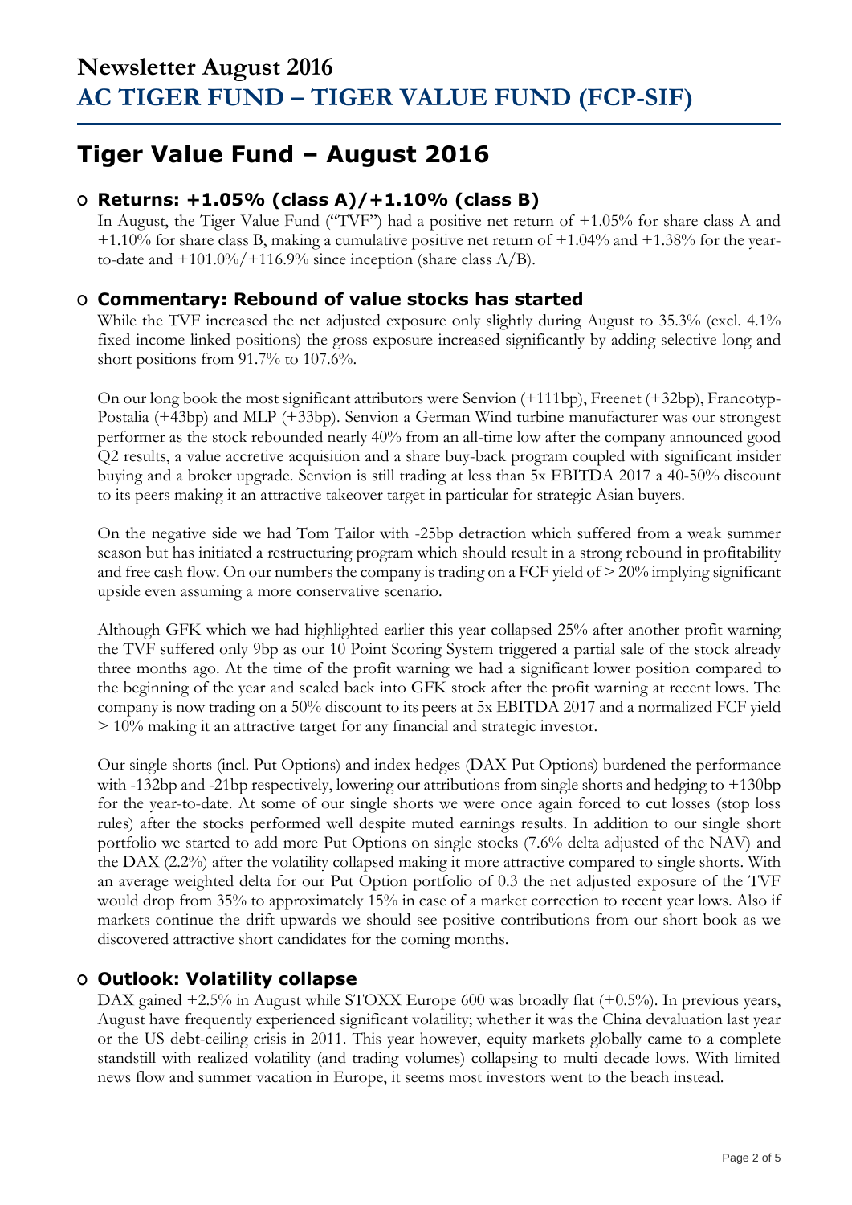## **Tiger Value Fund – August 2016**

### **O Returns: +1.05% (class A)/+1.10% (class B)**

In August, the Tiger Value Fund ("TVF") had a positive net return of +1.05% for share class A and +1.10% for share class B, making a cumulative positive net return of +1.04% and +1.38% for the yearto-date and  $+101.0\%/+116.9\%$  since inception (share class A/B).

### **O Commentary: Rebound of value stocks has started**

While the TVF increased the net adjusted exposure only slightly during August to 35.3% (excl. 4.1%) fixed income linked positions) the gross exposure increased significantly by adding selective long and short positions from 91.7% to 107.6%.

On our long book the most significant attributors were Senvion (+111bp), Freenet (+32bp), Francotyp-Postalia (+43bp) and MLP (+33bp). Senvion a German Wind turbine manufacturer was our strongest performer as the stock rebounded nearly 40% from an all-time low after the company announced good Q2 results, a value accretive acquisition and a share buy-back program coupled with significant insider buying and a broker upgrade. Senvion is still trading at less than 5x EBITDA 2017 a 40-50% discount to its peers making it an attractive takeover target in particular for strategic Asian buyers.

On the negative side we had Tom Tailor with -25bp detraction which suffered from a weak summer season but has initiated a restructuring program which should result in a strong rebound in profitability and free cash flow. On our numbers the company is trading on a FCF yield of > 20% implying significant upside even assuming a more conservative scenario.

Although GFK which we had highlighted earlier this year collapsed 25% after another profit warning the TVF suffered only 9bp as our 10 Point Scoring System triggered a partial sale of the stock already three months ago. At the time of the profit warning we had a significant lower position compared to the beginning of the year and scaled back into GFK stock after the profit warning at recent lows. The company is now trading on a 50% discount to its peers at 5x EBITDA 2017 and a normalized FCF yield > 10% making it an attractive target for any financial and strategic investor.

Our single shorts (incl. Put Options) and index hedges (DAX Put Options) burdened the performance with -132bp and -21bp respectively, lowering our attributions from single shorts and hedging to +130bp for the year-to-date. At some of our single shorts we were once again forced to cut losses (stop loss rules) after the stocks performed well despite muted earnings results. In addition to our single short portfolio we started to add more Put Options on single stocks (7.6% delta adjusted of the NAV) and the DAX (2.2%) after the volatility collapsed making it more attractive compared to single shorts. With an average weighted delta for our Put Option portfolio of 0.3 the net adjusted exposure of the TVF would drop from 35% to approximately 15% in case of a market correction to recent year lows. Also if markets continue the drift upwards we should see positive contributions from our short book as we discovered attractive short candidates for the coming months.

### **O Outlook: Volatility collapse**

DAX gained +2.5% in August while STOXX Europe 600 was broadly flat (+0.5%). In previous years, August have frequently experienced significant volatility; whether it was the China devaluation last year or the US debt-ceiling crisis in 2011. This year however, equity markets globally came to a complete standstill with realized volatility (and trading volumes) collapsing to multi decade lows. With limited news flow and summer vacation in Europe, it seems most investors went to the beach instead.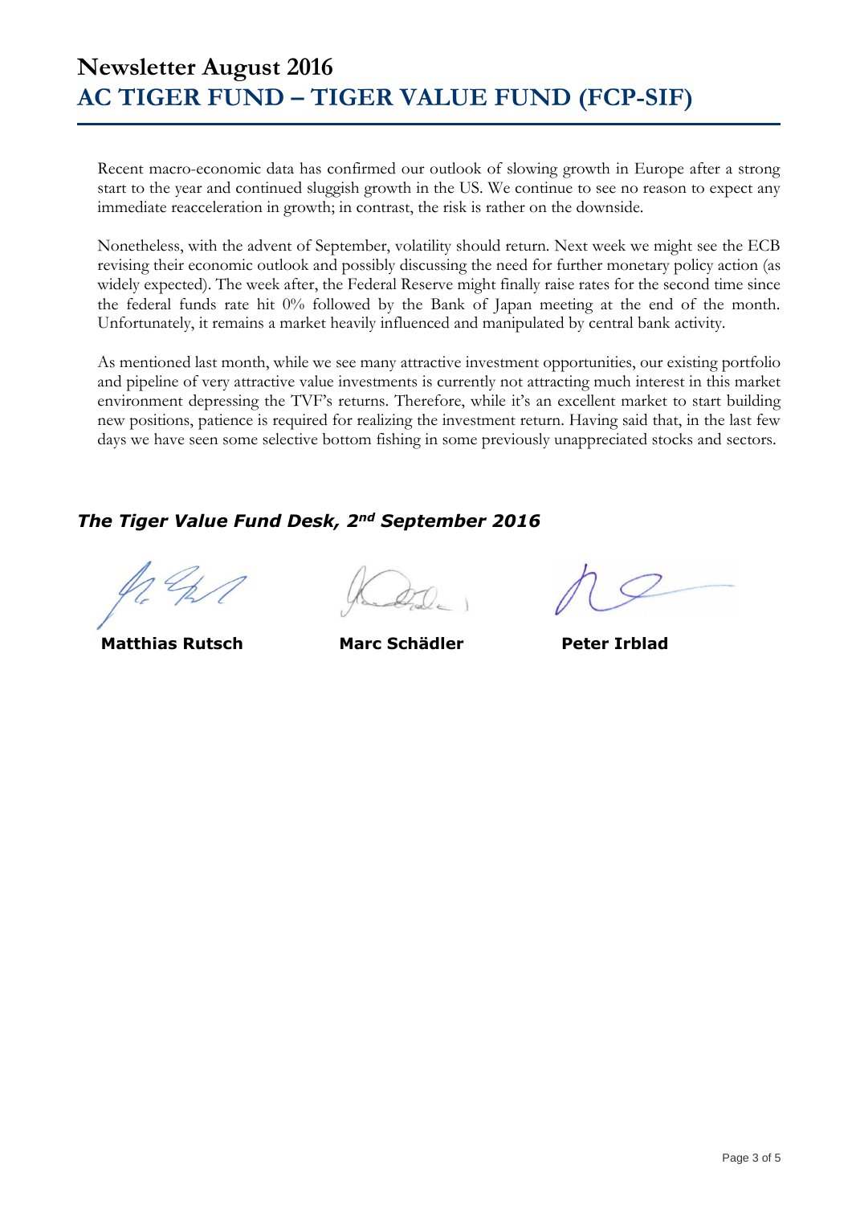## **Newsletter August 2016 AC TIGER FUND – TIGER VALUE FUND (FCP-SIF)**

Recent macro-economic data has confirmed our outlook of slowing growth in Europe after a strong start to the year and continued sluggish growth in the US. We continue to see no reason to expect any immediate reacceleration in growth; in contrast, the risk is rather on the downside.

Nonetheless, with the advent of September, volatility should return. Next week we might see the ECB revising their economic outlook and possibly discussing the need for further monetary policy action (as widely expected). The week after, the Federal Reserve might finally raise rates for the second time since the federal funds rate hit 0% followed by the Bank of Japan meeting at the end of the month. Unfortunately, it remains a market heavily influenced and manipulated by central bank activity.

As mentioned last month, while we see many attractive investment opportunities, our existing portfolio and pipeline of very attractive value investments is currently not attracting much interest in this market environment depressing the TVF's returns. Therefore, while it's an excellent market to start building new positions, patience is required for realizing the investment return. Having said that, in the last few days we have seen some selective bottom fishing in some previously unappreciated stocks and sectors.

### *The Tiger Value Fund Desk, 2nd September 2016*

 **Matthias Rutsch Marc Schädler Peter Irblad**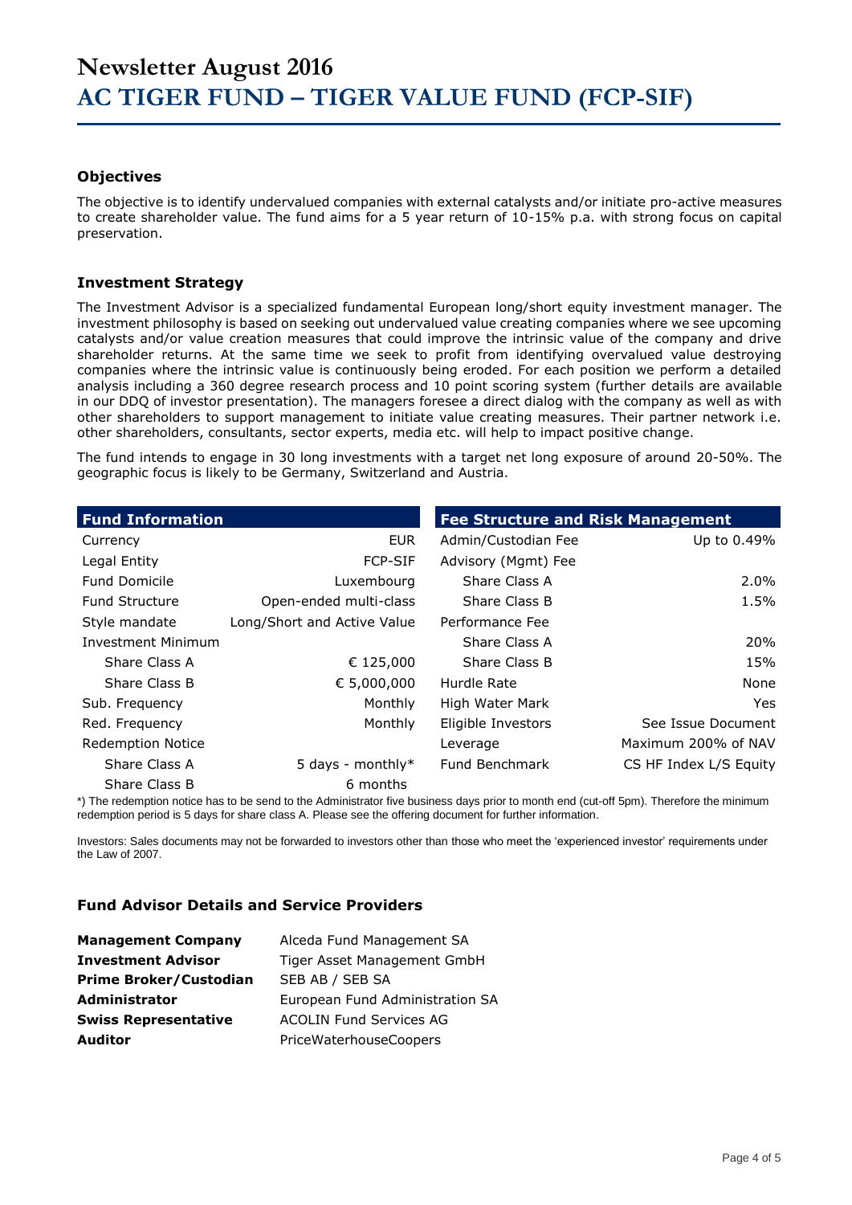#### **Objectives**

The objective is to identify undervalued companies with external catalysts and/or initiate pro-active measures to create shareholder value. The fund aims for a 5 year return of 10-15% p.a. with strong focus on capital preservation.

#### **Investment Strategy**

The Investment Advisor is a specialized fundamental European long/short equity investment manager. The investment philosophy is based on seeking out undervalued value creating companies where we see upcoming catalysts and/or value creation measures that could improve the intrinsic value of the company and drive shareholder returns. At the same time we seek to profit from identifying overvalued value destroying companies where the intrinsic value is continuously being eroded. For each position we perform a detailed analysis including a 360 degree research process and 10 point scoring system (further details are available in our DDQ of investor presentation). The managers foresee a direct dialog with the company as well as with other shareholders to support management to initiate value creating measures. Their partner network i.e. other shareholders, consultants, sector experts, media etc. will help to impact positive change.

The fund intends to engage in 30 long investments with a target net long exposure of around 20-50%. The geographic focus is likely to be Germany, Switzerland and Austria.

| <b>Fund Information</b>  |                             | <b>Fee Structure and Risk Management</b> |                        |
|--------------------------|-----------------------------|------------------------------------------|------------------------|
| Currency                 | <b>EUR</b>                  | Admin/Custodian Fee                      | Up to 0.49%            |
| Legal Entity             | <b>FCP-SIF</b>              | Advisory (Mgmt) Fee                      |                        |
| <b>Fund Domicile</b>     | Luxembourg                  | Share Class A                            | $2.0\%$                |
| <b>Fund Structure</b>    | Open-ended multi-class      | Share Class B                            | 1.5%                   |
| Style mandate            | Long/Short and Active Value | Performance Fee                          |                        |
| Investment Minimum       |                             | Share Class A                            | 20%                    |
| Share Class A            | € 125,000                   | Share Class B                            | 15%                    |
| Share Class B            | € 5,000,000                 | Hurdle Rate                              | None                   |
| Sub. Frequency           | Monthly                     | High Water Mark                          | Yes.                   |
| Red. Frequency           | Monthly                     | Eligible Investors                       | See Issue Document     |
| <b>Redemption Notice</b> |                             | Leverage                                 | Maximum 200% of NAV    |
| Share Class A            | 5 days - monthly $*$        | Fund Benchmark                           | CS HF Index L/S Equity |
| Share Class B            | 6 months                    |                                          |                        |

\*) The redemption notice has to be send to the Administrator five business days prior to month end (cut-off 5pm). Therefore the minimum redemption period is 5 days for share class A. Please see the offering document for further information.

Investors: Sales documents may not be forwarded to investors other than those who meet the 'experienced investor' requirements under the Law of 2007.

#### **Fund Advisor Details and Service Providers**

| <b>Management Company</b>     | Alceda Fund Management SA       |
|-------------------------------|---------------------------------|
| <b>Investment Advisor</b>     | Tiger Asset Management GmbH     |
| <b>Prime Broker/Custodian</b> | SEB AB / SEB SA                 |
| <b>Administrator</b>          | European Fund Administration SA |
| <b>Swiss Representative</b>   | <b>ACOLIN Fund Services AG</b>  |
| <b>Auditor</b>                | PriceWaterhouseCoopers          |